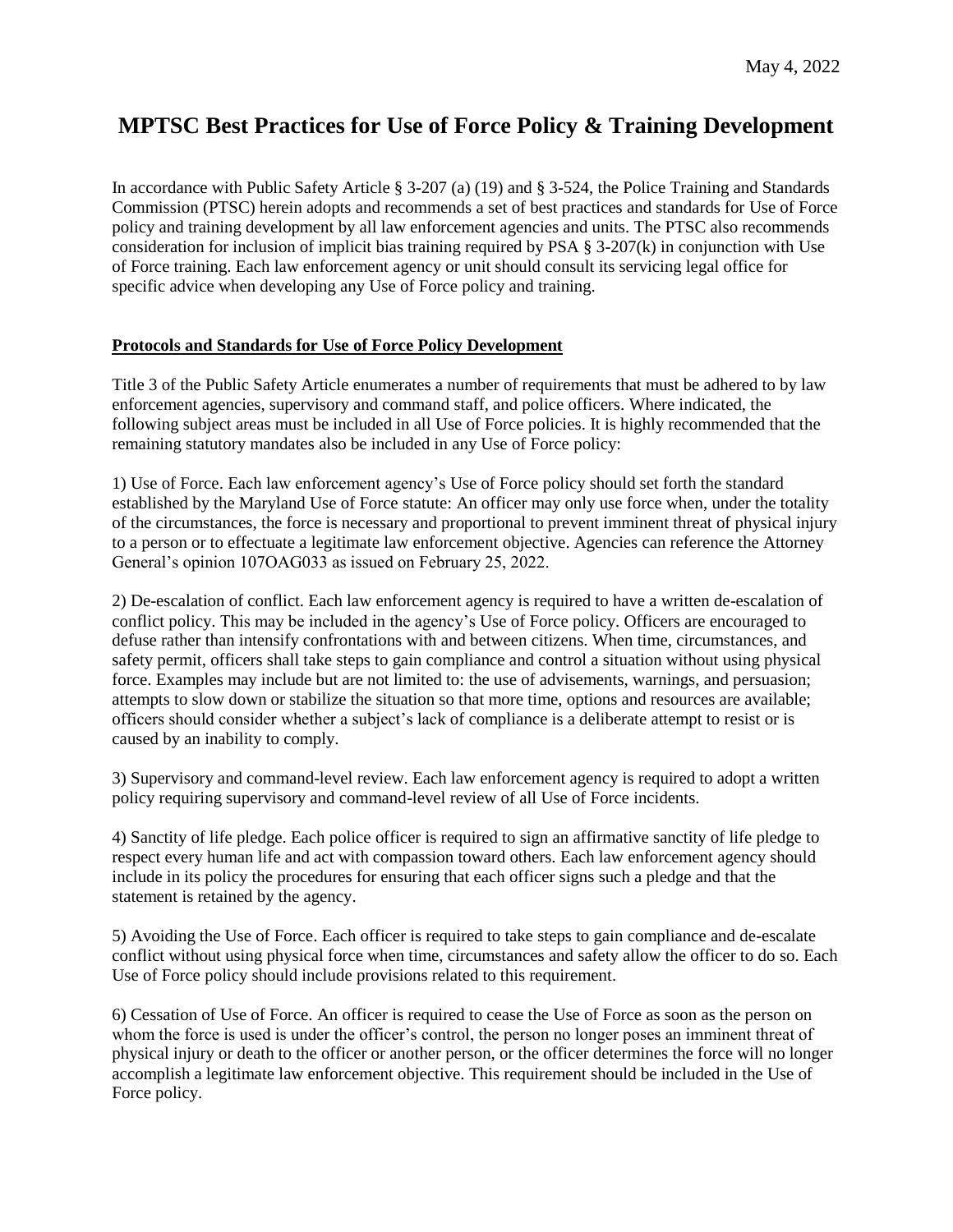## **MPTSC Best Practices for Use of Force Policy & Training Development**

In accordance with Public Safety Article § 3-207 (a) (19) and § 3-524, the Police Training and Standards Commission (PTSC) herein adopts and recommends a set of best practices and standards for Use of Force policy and training development by all law enforcement agencies and units. The PTSC also recommends consideration for inclusion of implicit bias training required by PSA  $\S$  3-207(k) in conjunction with Use of Force training. Each law enforcement agency or unit should consult its servicing legal office for specific advice when developing any Use of Force policy and training.

## **Protocols and Standards for Use of Force Policy Development**

Title 3 of the Public Safety Article enumerates a number of requirements that must be adhered to by law enforcement agencies, supervisory and command staff, and police officers. Where indicated, the following subject areas must be included in all Use of Force policies. It is highly recommended that the remaining statutory mandates also be included in any Use of Force policy:

1) Use of Force. Each law enforcement agency's Use of Force policy should set forth the standard established by the Maryland Use of Force statute: An officer may only use force when, under the totality of the circumstances, the force is necessary and proportional to prevent imminent threat of physical injury to a person or to effectuate a legitimate law enforcement objective. Agencies can reference the Attorney General's opinion 107OAG033 as issued on February 25, 2022.

2) De-escalation of conflict. Each law enforcement agency is required to have a written de-escalation of conflict policy. This may be included in the agency's Use of Force policy. Officers are encouraged to defuse rather than intensify confrontations with and between citizens. When time, circumstances, and safety permit, officers shall take steps to gain compliance and control a situation without using physical force. Examples may include but are not limited to: the use of advisements, warnings, and persuasion; attempts to slow down or stabilize the situation so that more time, options and resources are available; officers should consider whether a subject's lack of compliance is a deliberate attempt to resist or is caused by an inability to comply.

3) Supervisory and command-level review. Each law enforcement agency is required to adopt a written policy requiring supervisory and command-level review of all Use of Force incidents.

4) Sanctity of life pledge. Each police officer is required to sign an affirmative sanctity of life pledge to respect every human life and act with compassion toward others. Each law enforcement agency should include in its policy the procedures for ensuring that each officer signs such a pledge and that the statement is retained by the agency.

5) Avoiding the Use of Force. Each officer is required to take steps to gain compliance and de-escalate conflict without using physical force when time, circumstances and safety allow the officer to do so. Each Use of Force policy should include provisions related to this requirement.

6) Cessation of Use of Force. An officer is required to cease the Use of Force as soon as the person on whom the force is used is under the officer's control, the person no longer poses an imminent threat of physical injury or death to the officer or another person, or the officer determines the force will no longer accomplish a legitimate law enforcement objective. This requirement should be included in the Use of Force policy.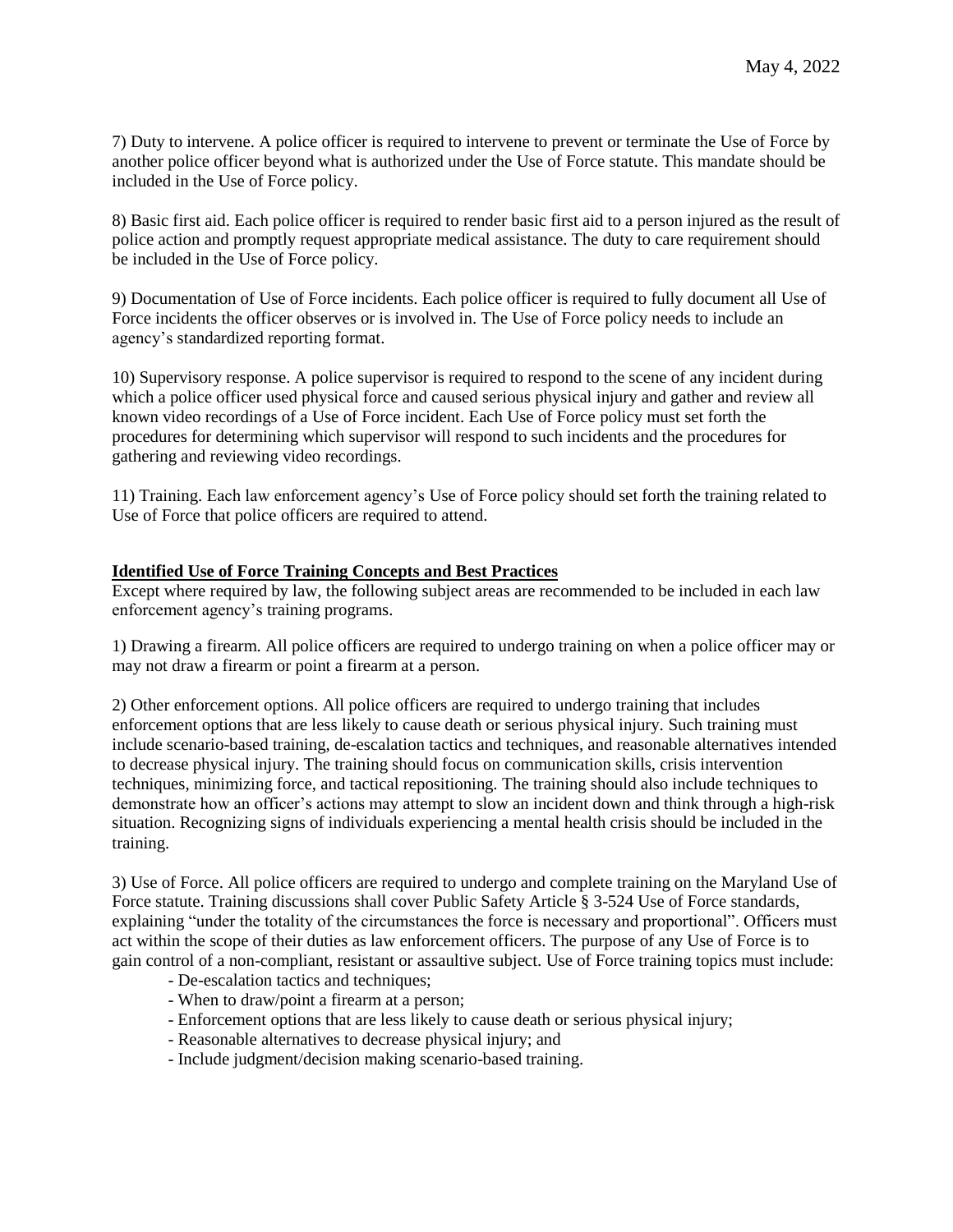7) Duty to intervene. A police officer is required to intervene to prevent or terminate the Use of Force by another police officer beyond what is authorized under the Use of Force statute. This mandate should be included in the Use of Force policy.

8) Basic first aid. Each police officer is required to render basic first aid to a person injured as the result of police action and promptly request appropriate medical assistance. The duty to care requirement should be included in the Use of Force policy.

9) Documentation of Use of Force incidents. Each police officer is required to fully document all Use of Force incidents the officer observes or is involved in. The Use of Force policy needs to include an agency's standardized reporting format.

10) Supervisory response. A police supervisor is required to respond to the scene of any incident during which a police officer used physical force and caused serious physical injury and gather and review all known video recordings of a Use of Force incident. Each Use of Force policy must set forth the procedures for determining which supervisor will respond to such incidents and the procedures for gathering and reviewing video recordings.

11) Training. Each law enforcement agency's Use of Force policy should set forth the training related to Use of Force that police officers are required to attend.

## **Identified Use of Force Training Concepts and Best Practices**

Except where required by law, the following subject areas are recommended to be included in each law enforcement agency's training programs.

1) Drawing a firearm. All police officers are required to undergo training on when a police officer may or may not draw a firearm or point a firearm at a person.

2) Other enforcement options. All police officers are required to undergo training that includes enforcement options that are less likely to cause death or serious physical injury. Such training must include scenario-based training, de-escalation tactics and techniques, and reasonable alternatives intended to decrease physical injury. The training should focus on communication skills, crisis intervention techniques, minimizing force, and tactical repositioning. The training should also include techniques to demonstrate how an officer's actions may attempt to slow an incident down and think through a high-risk situation. Recognizing signs of individuals experiencing a mental health crisis should be included in the training.

3) Use of Force. All police officers are required to undergo and complete training on the Maryland Use of Force statute. Training discussions shall cover Public Safety Article § 3-524 Use of Force standards, explaining "under the totality of the circumstances the force is necessary and proportional". Officers must act within the scope of their duties as law enforcement officers. The purpose of any Use of Force is to gain control of a non-compliant, resistant or assaultive subject. Use of Force training topics must include:

- De-escalation tactics and techniques;
- When to draw/point a firearm at a person;
- Enforcement options that are less likely to cause death or serious physical injury;
- Reasonable alternatives to decrease physical injury; and
- Include judgment/decision making scenario-based training.